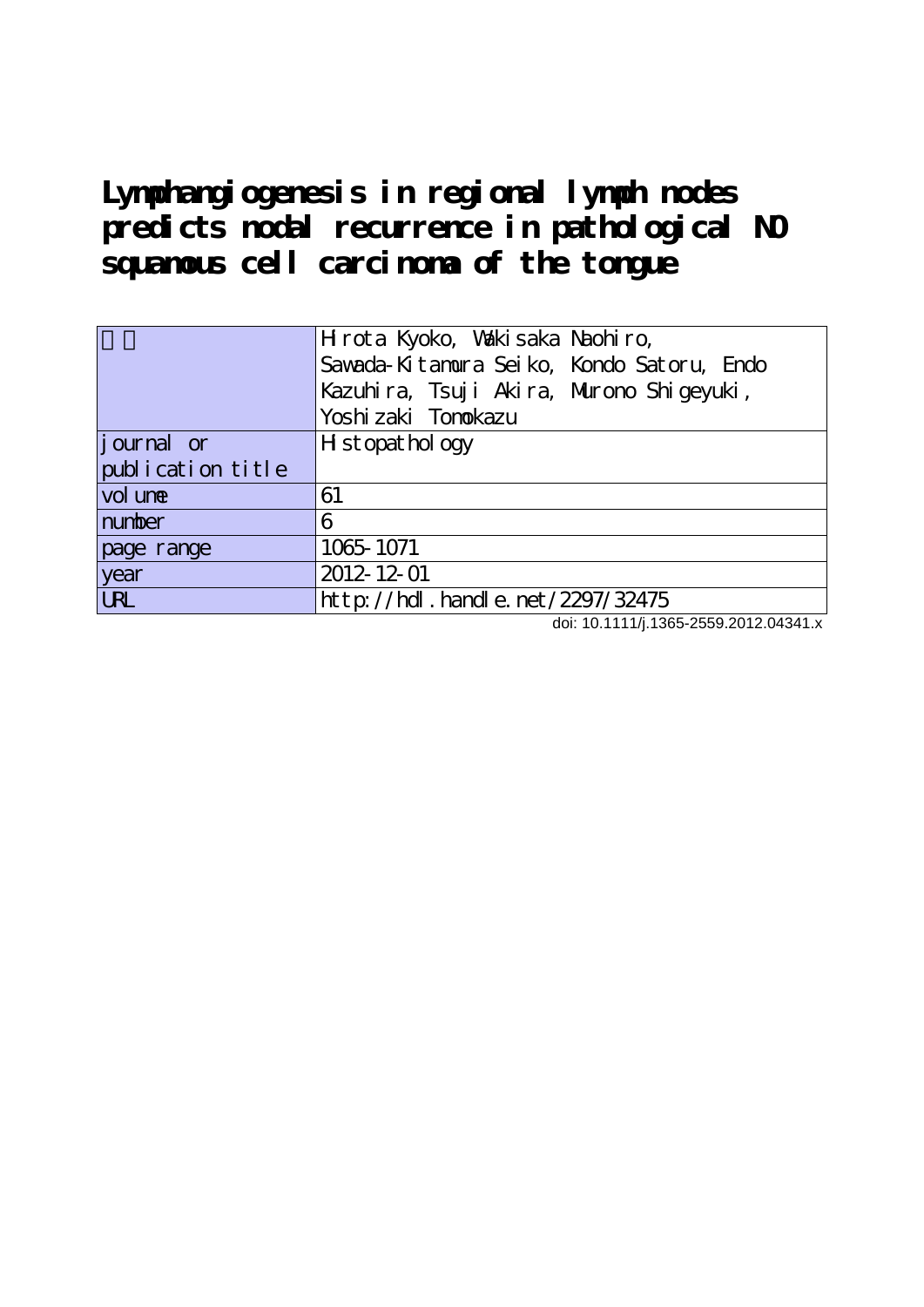**Lymphangiogenesis in regional lymph nodes predicts nodal recurrence in pathological N0 squamous cell carcinoma of the tongue**

|                    | Hrota Kyoko, Wakisaka Naohiro,            |
|--------------------|-------------------------------------------|
|                    | Sawada-Kitanura Seiko, Kondo Satoru, Endo |
|                    | Kazuhira, Tsuji Akira, Murono Shigeyuki,  |
|                    | Yoshi zaki Tonokazu                       |
| <i>j</i> ournal or | H st opat hol ogy                         |
| publication title  |                                           |
| vol une            | 61                                        |
| number             | 6                                         |
| page range         | 1065-1071                                 |
| year               | 2012-12-01                                |
| <b>URL</b>         | http://hdl.handle.net/2297/32475          |

doi: 10.1111/j.1365-2559.2012.04341.x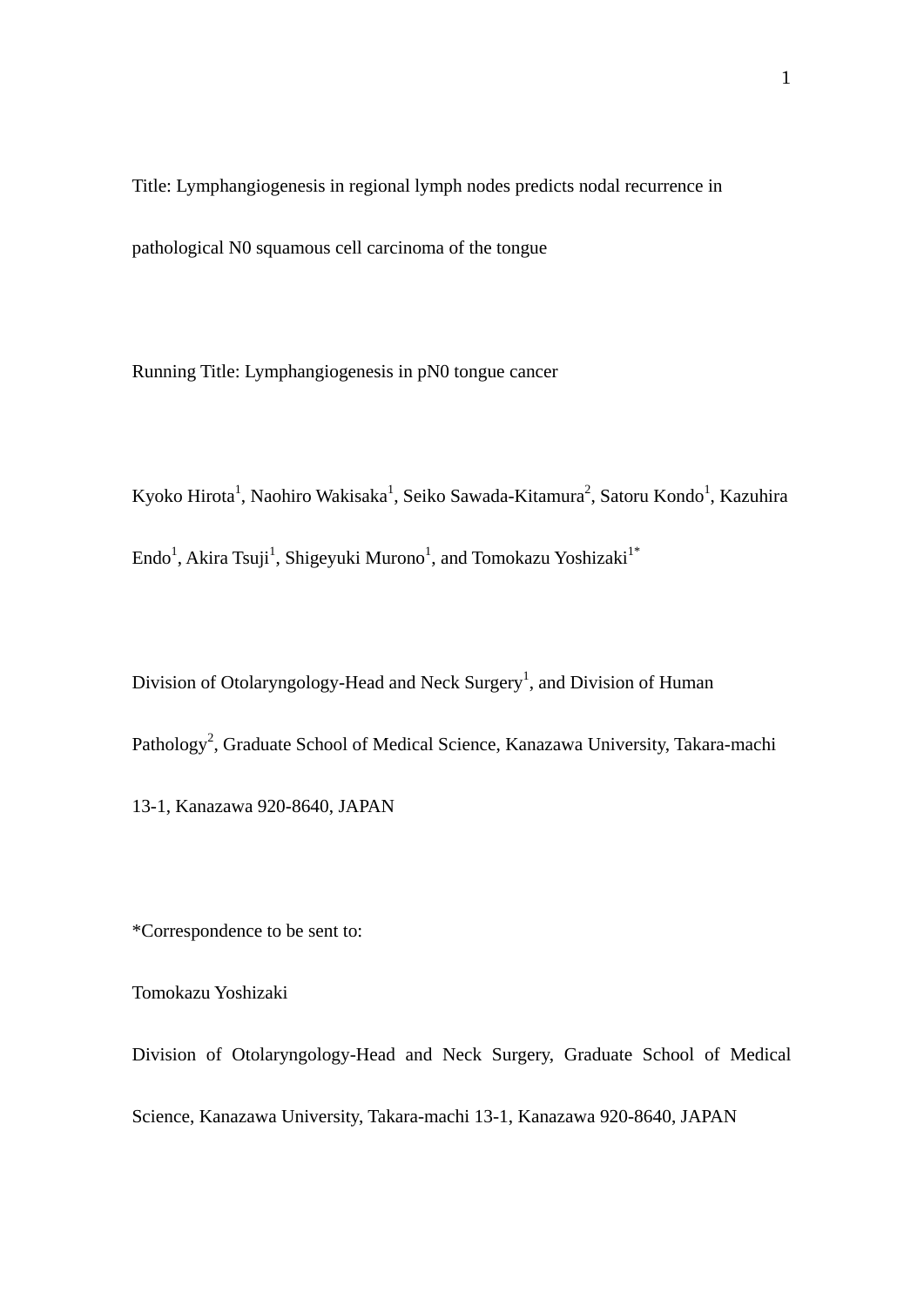Title: Lymphangiogenesis in regional lymph nodes predicts nodal recurrence in pathological N0 squamous cell carcinoma of the tongue

Running Title: Lymphangiogenesis in pN0 tongue cancer

Kyoko Hirota<sup>1</sup>, Naohiro Wakisaka<sup>1</sup>, Seiko Sawada-Kitamura<sup>2</sup>, Satoru Kondo<sup>1</sup>, Kazuhira  $\rm{Endo}^1$ , Akira Tsuji $^1$ , Shigeyuki Murono $^1$ , and Tomokazu Yoshizaki $^{1^*}$ 

Division of Otolaryngology-Head and Neck Surgery<sup>1</sup>, and Division of Human Pathology<sup>2</sup>, Graduate School of Medical Science, Kanazawa University, Takara-machi 13-1, Kanazawa 920-8640, JAPAN

\*Correspondence to be sent to:

Tomokazu Yoshizaki

Division of Otolaryngology-Head and Neck Surgery, Graduate School of Medical Science, Kanazawa University, Takara-machi 13-1, Kanazawa 920-8640, JAPAN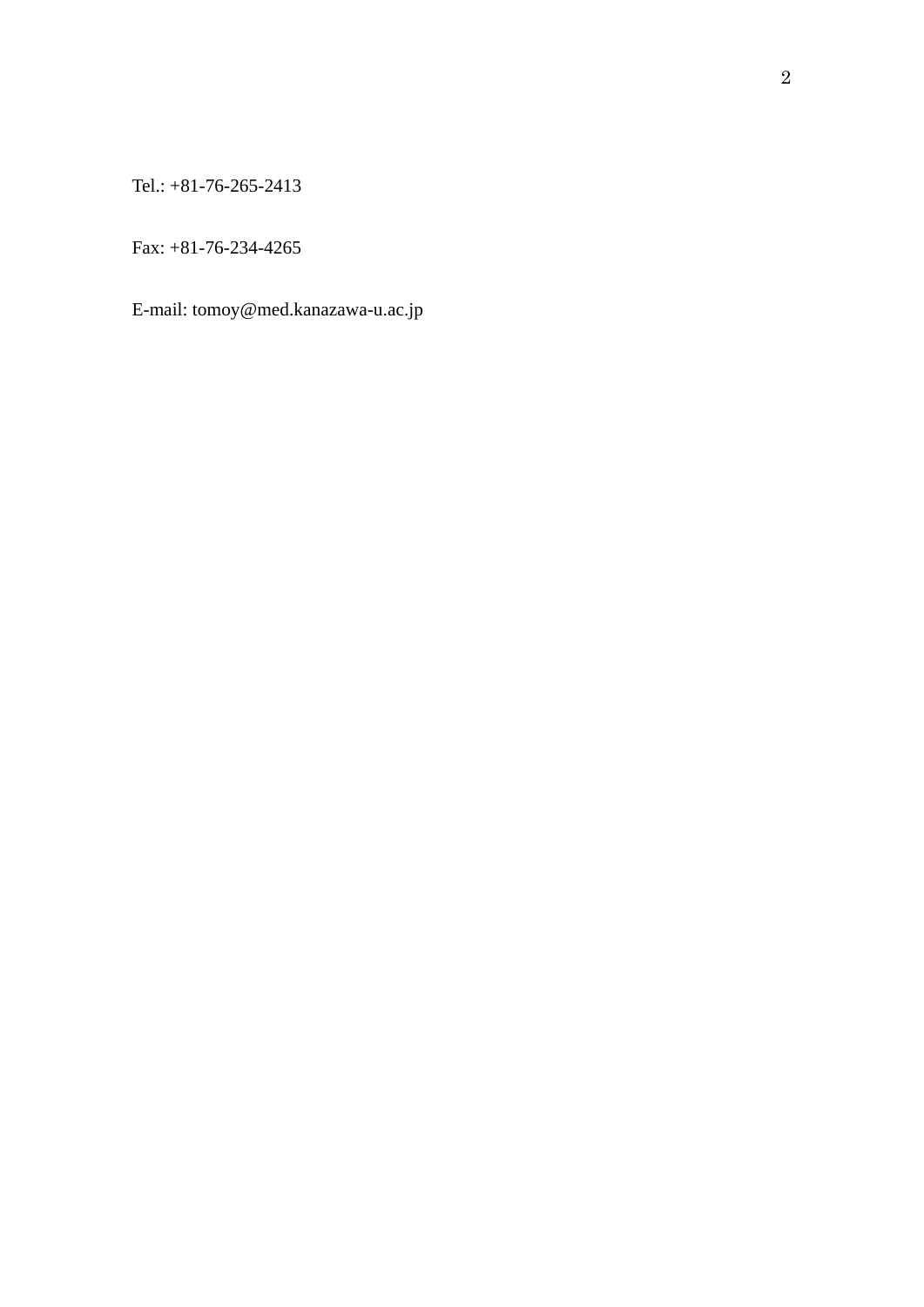Tel.: +81-76-265-2413

Fax: +81-76-234-4265

E-mail: tomoy@med.kanazawa-u.ac.jp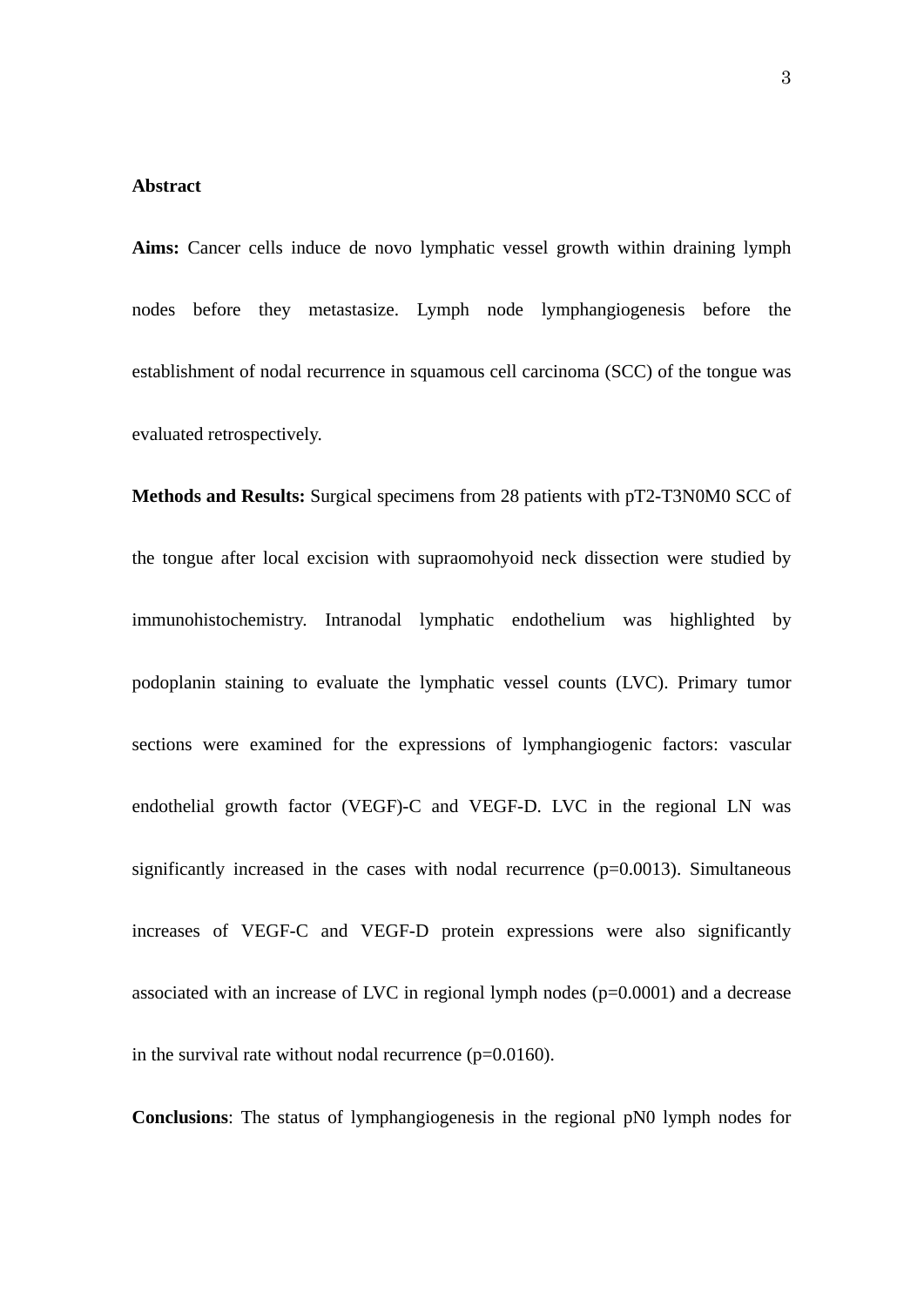#### **Abstract**

**Aims:** Cancer cells induce de novo lymphatic vessel growth within draining lymph nodes before they metastasize. Lymph node lymphangiogenesis before the establishment of nodal recurrence in squamous cell carcinoma (SCC) of the tongue was evaluated retrospectively.

**Methods and Results:** Surgical specimens from 28 patients with pT2-T3N0M0 SCC of the tongue after local excision with supraomohyoid neck dissection were studied by immunohistochemistry. Intranodal lymphatic endothelium was highlighted by podoplanin staining to evaluate the lymphatic vessel counts (LVC). Primary tumor sections were examined for the expressions of lymphangiogenic factors: vascular endothelial growth factor (VEGF)-C and VEGF-D. LVC in the regional LN was significantly increased in the cases with nodal recurrence (p=0.0013). Simultaneous increases of VEGF-C and VEGF-D protein expressions were also significantly associated with an increase of LVC in regional lymph nodes  $(p=0.0001)$  and a decrease in the survival rate without nodal recurrence (p=0.0160).

**Conclusions**: The status of lymphangiogenesis in the regional pN0 lymph nodes for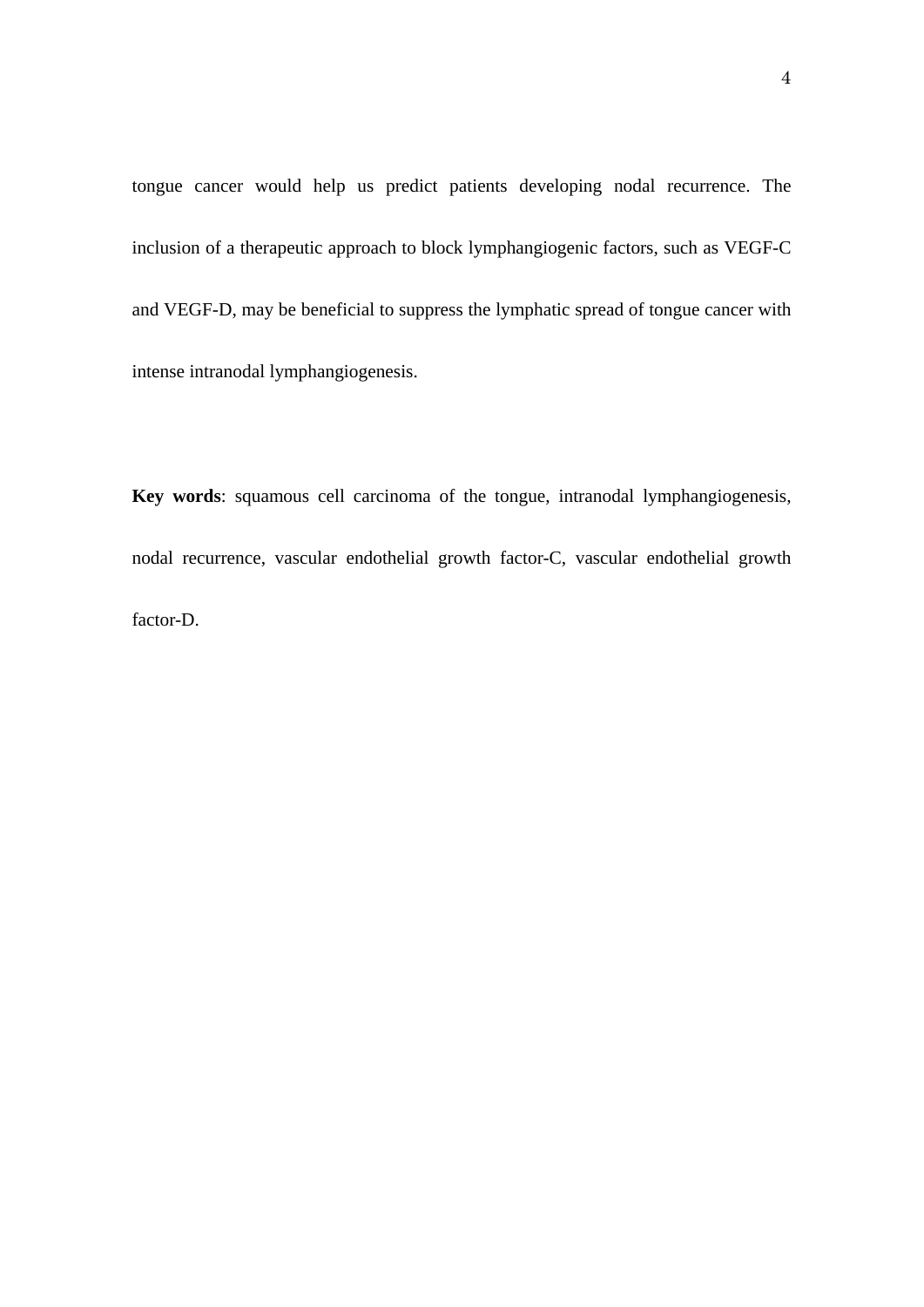tongue cancer would help us predict patients developing nodal recurrence. The inclusion of a therapeutic approach to block lymphangiogenic factors, such as VEGF-C and VEGF-D, may be beneficial to suppress the lymphatic spread of tongue cancer with intense intranodal lymphangiogenesis.

**Key words**: squamous cell carcinoma of the tongue, intranodal lymphangiogenesis, nodal recurrence, vascular endothelial growth factor-C, vascular endothelial growth factor-D.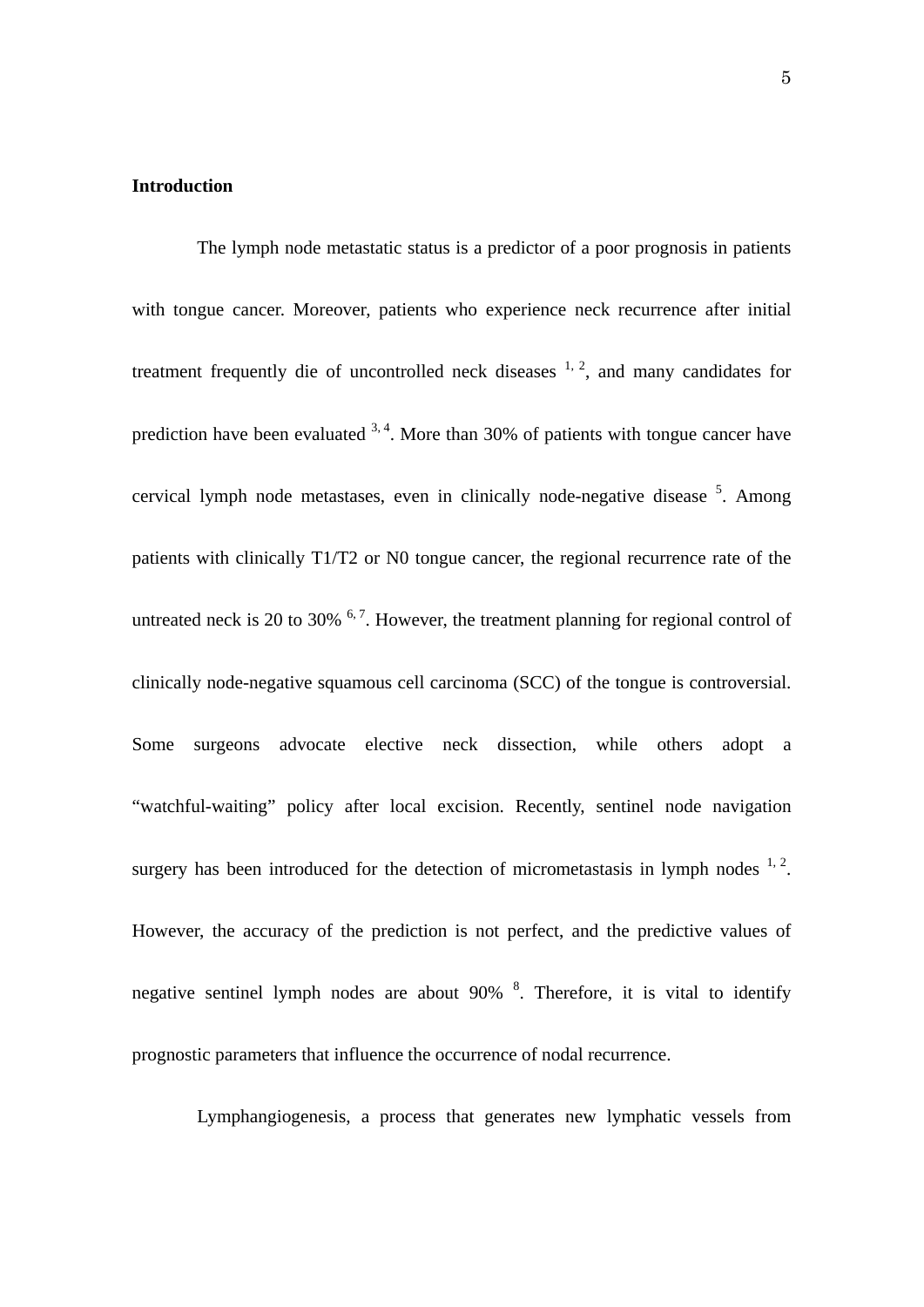#### **Introduction**

The lymph node metastatic status is a predictor of a poor prognosis in patients with tongue cancer. Moreover, patients who experience neck recurrence after initial treatment frequently die of uncontrolled neck diseases  $1, 2$ , and many candidates for prediction have been evaluated  $3, 4$ . More than 30% of patients with tongue cancer have cervical lymph node metastases, even in clinically node-negative disease <sup>5</sup>. Among patients with clinically T1/T2 or N0 tongue cancer, the regional recurrence rate of the untreated neck is 20 to 30%  $<sup>6,7</sup>$ . However, the treatment planning for regional control of</sup> clinically node-negative squamous cell carcinoma (SCC) of the tongue is controversial. Some surgeons advocate elective neck dissection, while others adopt a "watchful-waiting" policy after local excision. Recently, sentinel node navigation surgery has been introduced for the detection of micrometastasis in lymph nodes  $1, 2$ . However, the accuracy of the prediction is not perfect, and the predictive values of negative sentinel lymph nodes are about  $90\%$ <sup>8</sup>. Therefore, it is vital to identify prognostic parameters that influence the occurrence of nodal recurrence.

Lymphangiogenesis, a process that generates new lymphatic vessels from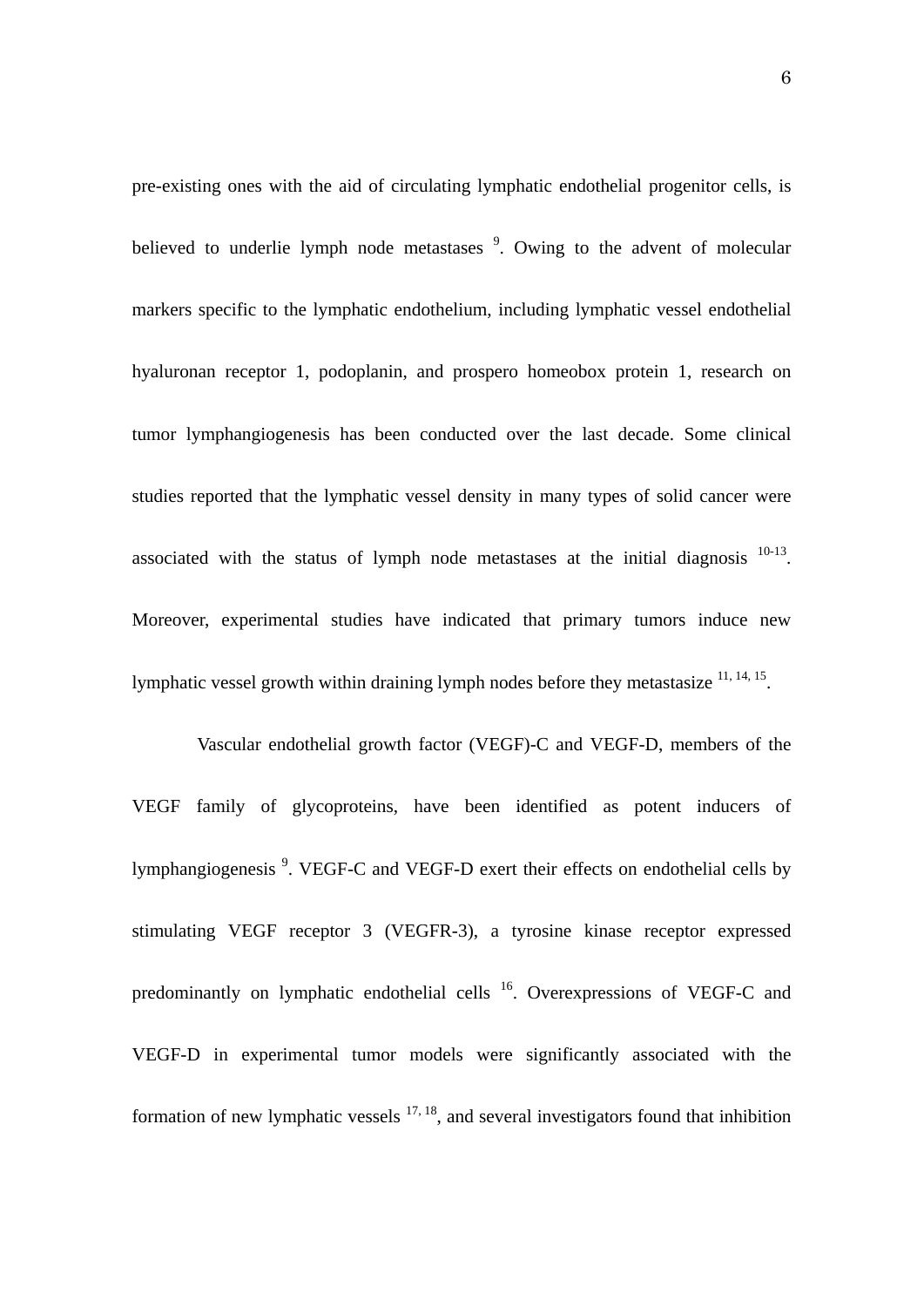pre-existing ones with the aid of circulating lymphatic endothelial progenitor cells, is believed to underlie lymph node metastases <sup>9</sup>. Owing to the advent of molecular markers specific to the lymphatic endothelium, including lymphatic vessel endothelial hyaluronan receptor 1, podoplanin, and prospero homeobox protein 1, research on tumor lymphangiogenesis has been conducted over the last decade. Some clinical studies reported that the lymphatic vessel density in many types of solid cancer were associated with the status of lymph node metastases at the initial diagnosis  $10^{-13}$ . Moreover, experimental studies have indicated that primary tumors induce new lymphatic vessel growth within draining lymph nodes before they metastasize 11, 14, 15.

 Vascular endothelial growth factor (VEGF)-C and VEGF-D, members of the VEGF family of glycoproteins, have been identified as potent inducers of lymphangiogenesis<sup>9</sup>. VEGF-C and VEGF-D exert their effects on endothelial cells by stimulating VEGF receptor 3 (VEGFR-3), a tyrosine kinase receptor expressed predominantly on lymphatic endothelial cells <sup>16</sup>. Overexpressions of VEGF-C and VEGF-D in experimental tumor models were significantly associated with the formation of new lymphatic vessels  $17, 18$ , and several investigators found that inhibition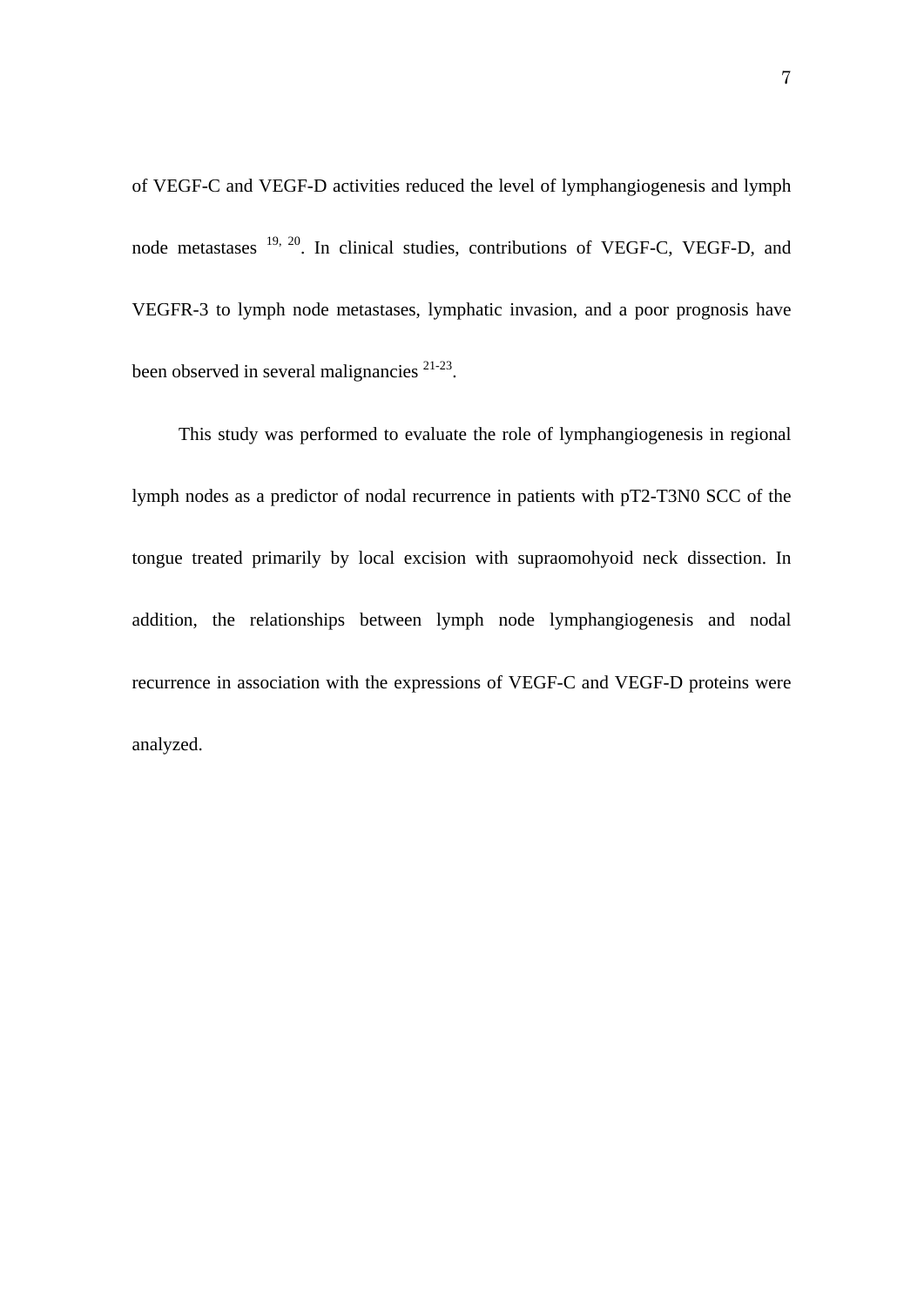of VEGF-C and VEGF-D activities reduced the level of lymphangiogenesis and lymph node metastases 19, 20. In clinical studies, contributions of VEGF-C, VEGF-D, and VEGFR-3 to lymph node metastases, lymphatic invasion, and a poor prognosis have been observed in several malignancies  $21-23$ .

This study was performed to evaluate the role of lymphangiogenesis in regional lymph nodes as a predictor of nodal recurrence in patients with pT2-T3N0 SCC of the tongue treated primarily by local excision with supraomohyoid neck dissection. In addition, the relationships between lymph node lymphangiogenesis and nodal recurrence in association with the expressions of VEGF-C and VEGF-D proteins were analyzed.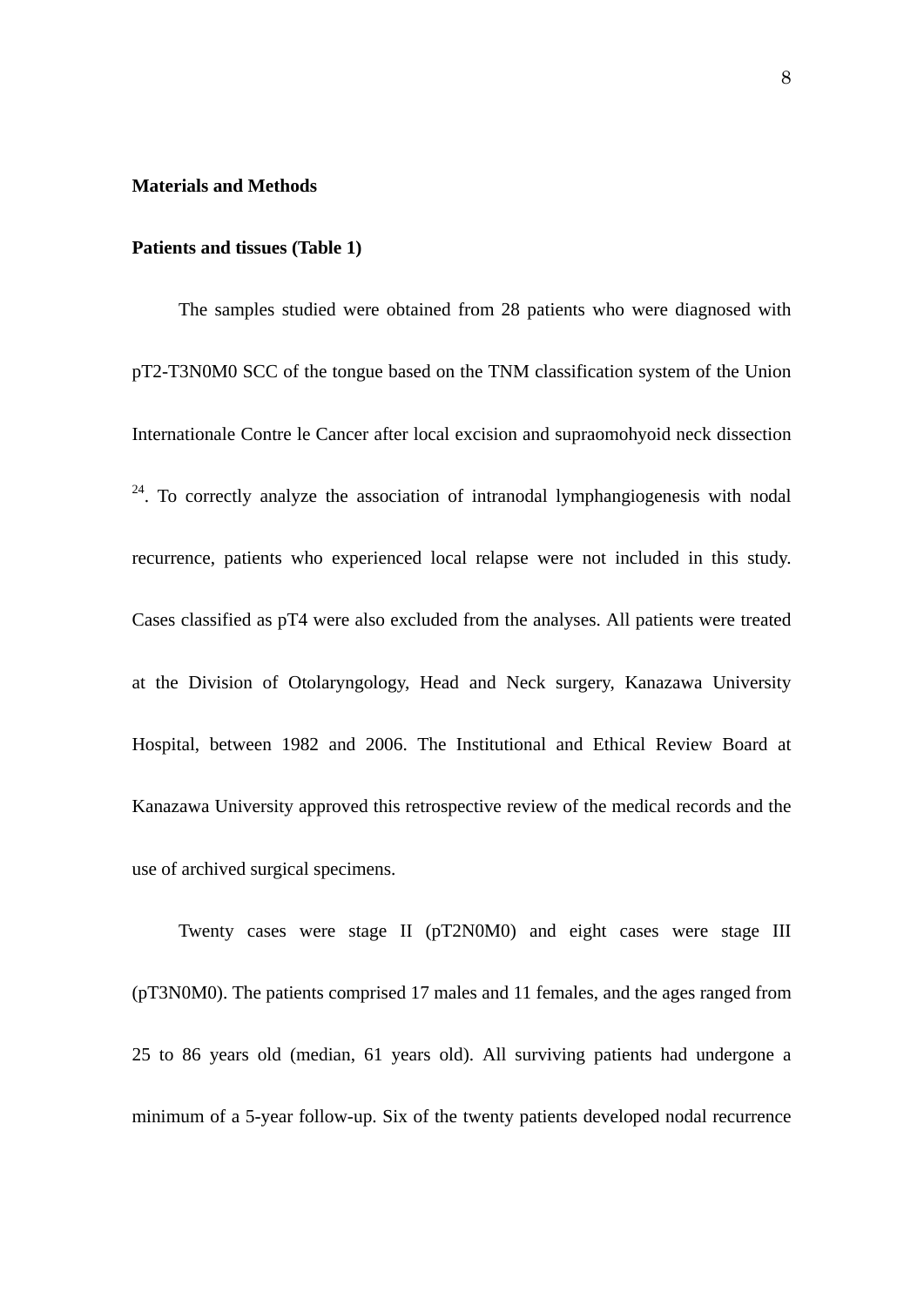#### **Materials and Methods**

#### **Patients and tissues (Table 1)**

The samples studied were obtained from 28 patients who were diagnosed with pT2-T3N0M0 SCC of the tongue based on the TNM classification system of the Union Internationale Contre le Cancer after local excision and supraomohyoid neck dissection <sup>24</sup>. To correctly analyze the association of intranodal lymphangiogenesis with nodal recurrence, patients who experienced local relapse were not included in this study. Cases classified as pT4 were also excluded from the analyses. All patients were treated at the Division of Otolaryngology, Head and Neck surgery, Kanazawa University Hospital, between 1982 and 2006. The Institutional and Ethical Review Board at Kanazawa University approved this retrospective review of the medical records and the use of archived surgical specimens.

Twenty cases were stage II (pT2N0M0) and eight cases were stage III (pT3N0M0). The patients comprised 17 males and 11 females, and the ages ranged from 25 to 86 years old (median, 61 years old). All surviving patients had undergone a minimum of a 5-year follow-up. Six of the twenty patients developed nodal recurrence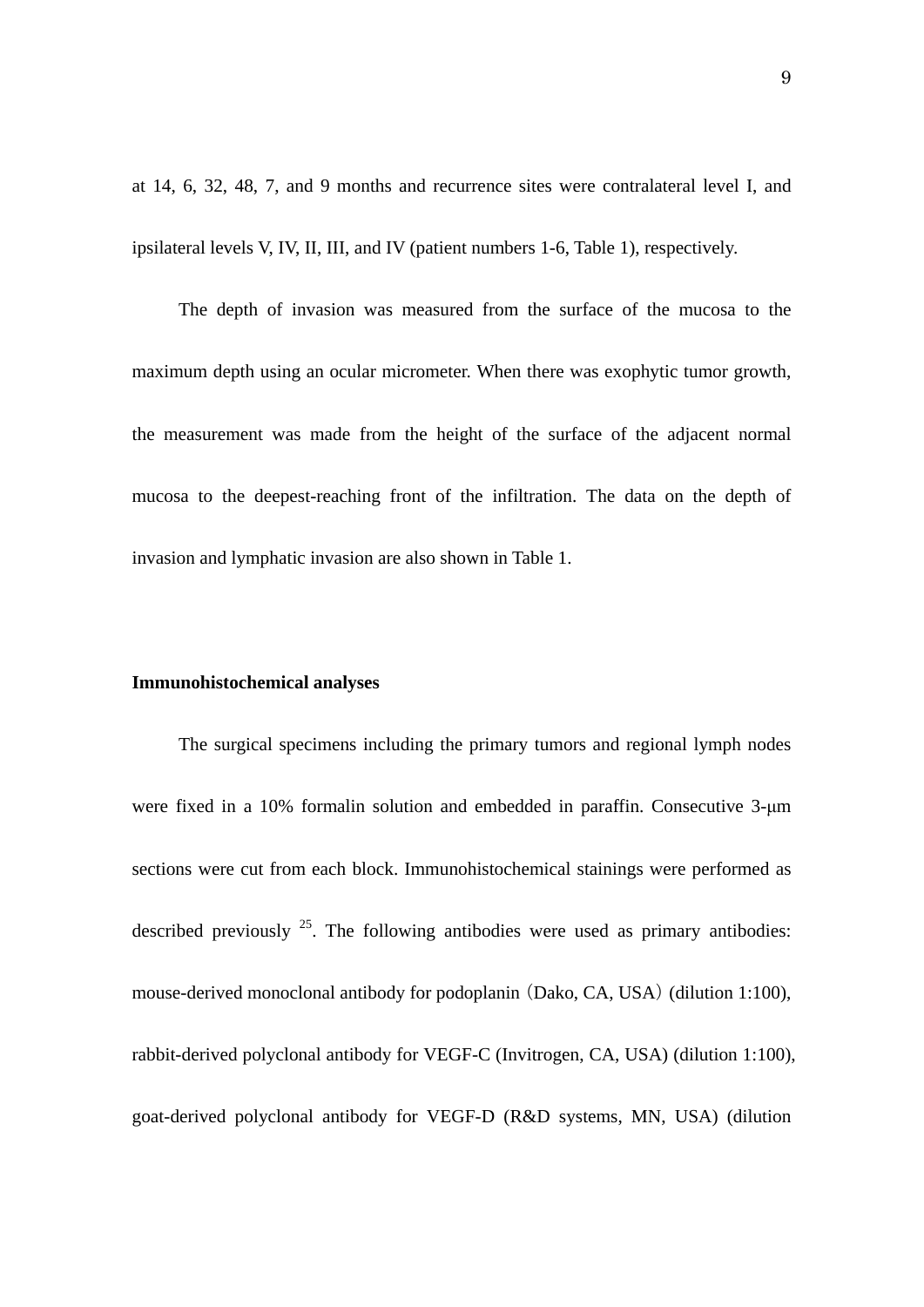at 14, 6, 32, 48, 7, and 9 months and recurrence sites were contralateral level I, and ipsilateral levels V, IV, II, III, and IV (patient numbers 1-6, Table 1), respectively.

 The depth of invasion was measured from the surface of the mucosa to the maximum depth using an ocular micrometer. When there was exophytic tumor growth, the measurement was made from the height of the surface of the adjacent normal mucosa to the deepest-reaching front of the infiltration. The data on the depth of invasion and lymphatic invasion are also shown in Table 1.

#### **Immunohistochemical analyses**

The surgical specimens including the primary tumors and regional lymph nodes were fixed in a 10% formalin solution and embedded in paraffin. Consecutive 3-μm sections were cut from each block. Immunohistochemical stainings were performed as described previously  $^{25}$ . The following antibodies were used as primary antibodies: mouse-derived monoclonal antibody for podoplanin (Dako, CA, USA) (dilution 1:100), rabbit-derived polyclonal antibody for VEGF-C (Invitrogen, CA, USA) (dilution 1:100), goat-derived polyclonal antibody for VEGF-D (R&D systems, MN, USA) (dilution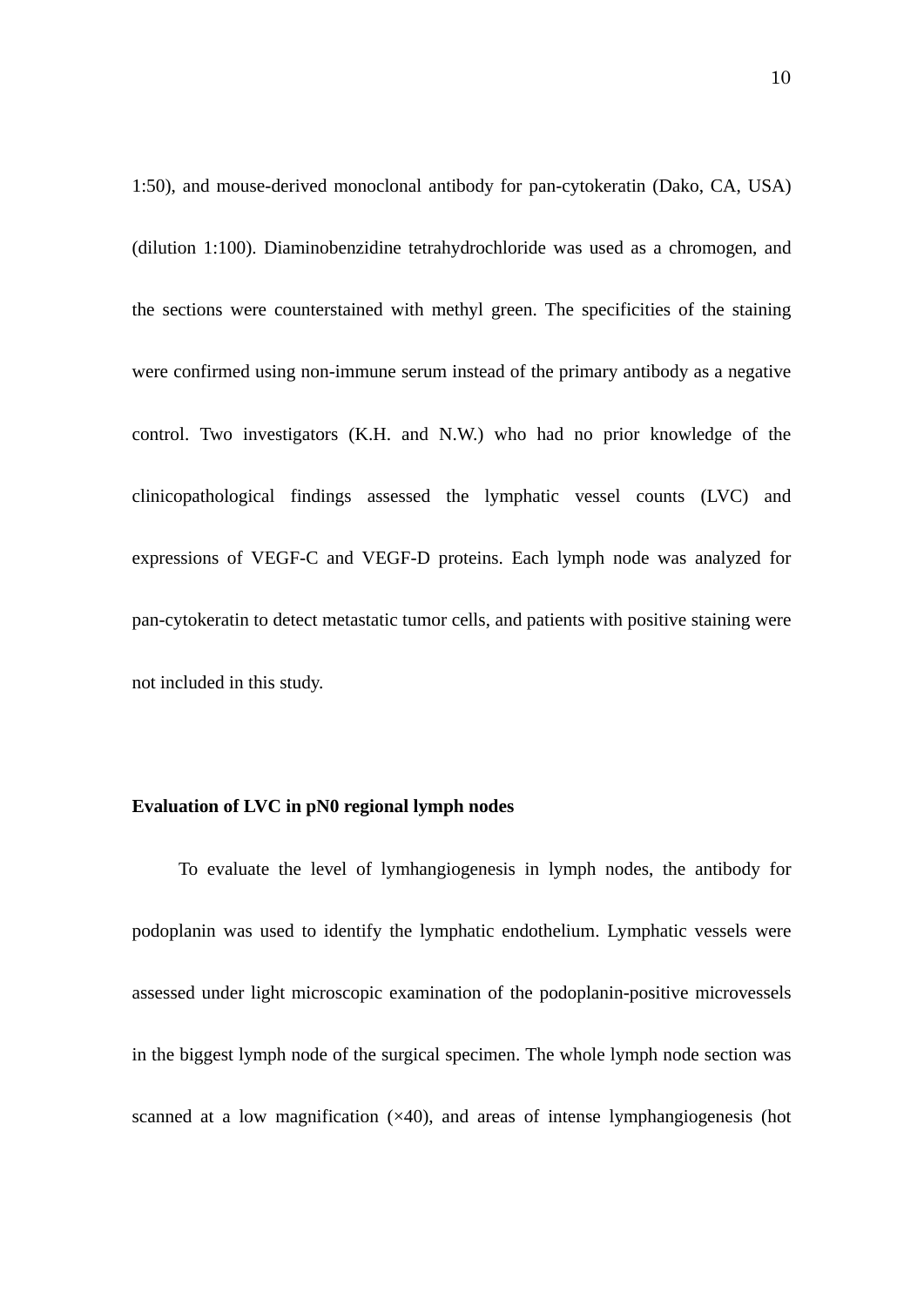1:50), and mouse-derived monoclonal antibody for pan-cytokeratin (Dako, CA, USA) (dilution 1:100). Diaminobenzidine tetrahydrochloride was used as a chromogen, and the sections were counterstained with methyl green. The specificities of the staining were confirmed using non-immune serum instead of the primary antibody as a negative control. Two investigators (K.H. and N.W.) who had no prior knowledge of the clinicopathological findings assessed the lymphatic vessel counts (LVC) and expressions of VEGF-C and VEGF-D proteins. Each lymph node was analyzed for pan-cytokeratin to detect metastatic tumor cells, and patients with positive staining were not included in this study.

#### **Evaluation of LVC in pN0 regional lymph nodes**

To evaluate the level of lymhangiogenesis in lymph nodes, the antibody for podoplanin was used to identify the lymphatic endothelium. Lymphatic vessels were assessed under light microscopic examination of the podoplanin-positive microvessels in the biggest lymph node of the surgical specimen. The whole lymph node section was scanned at a low magnification  $(\times 40)$ , and areas of intense lymphangiogenesis (hot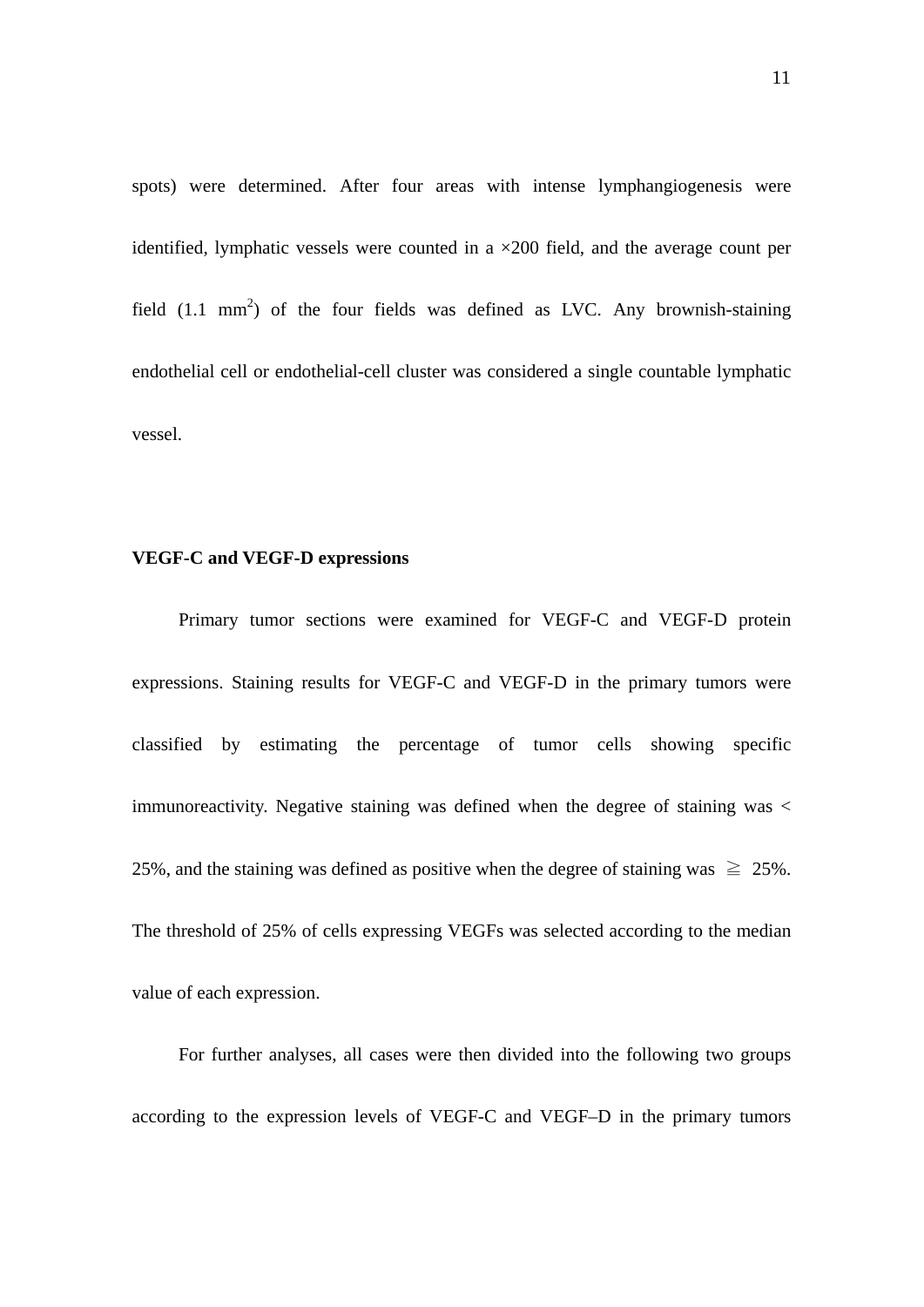spots) were determined. After four areas with intense lymphangiogenesis were identified, lymphatic vessels were counted in a  $\times$ 200 field, and the average count per field  $(1.1 \text{ mm}^2)$  of the four fields was defined as LVC. Any brownish-staining endothelial cell or endothelial-cell cluster was considered a single countable lymphatic vessel.

#### **VEGF-C and VEGF-D expressions**

Primary tumor sections were examined for VEGF-C and VEGF-D protein expressions. Staining results for VEGF-C and VEGF-D in the primary tumors were classified by estimating the percentage of tumor cells showing specific immunoreactivity. Negative staining was defined when the degree of staining was  $\lt$ 25%, and the staining was defined as positive when the degree of staining was  $\geq 25\%$ . The threshold of 25% of cells expressing VEGFs was selected according to the median value of each expression.

For further analyses, all cases were then divided into the following two groups according to the expression levels of VEGF-C and VEGF–D in the primary tumors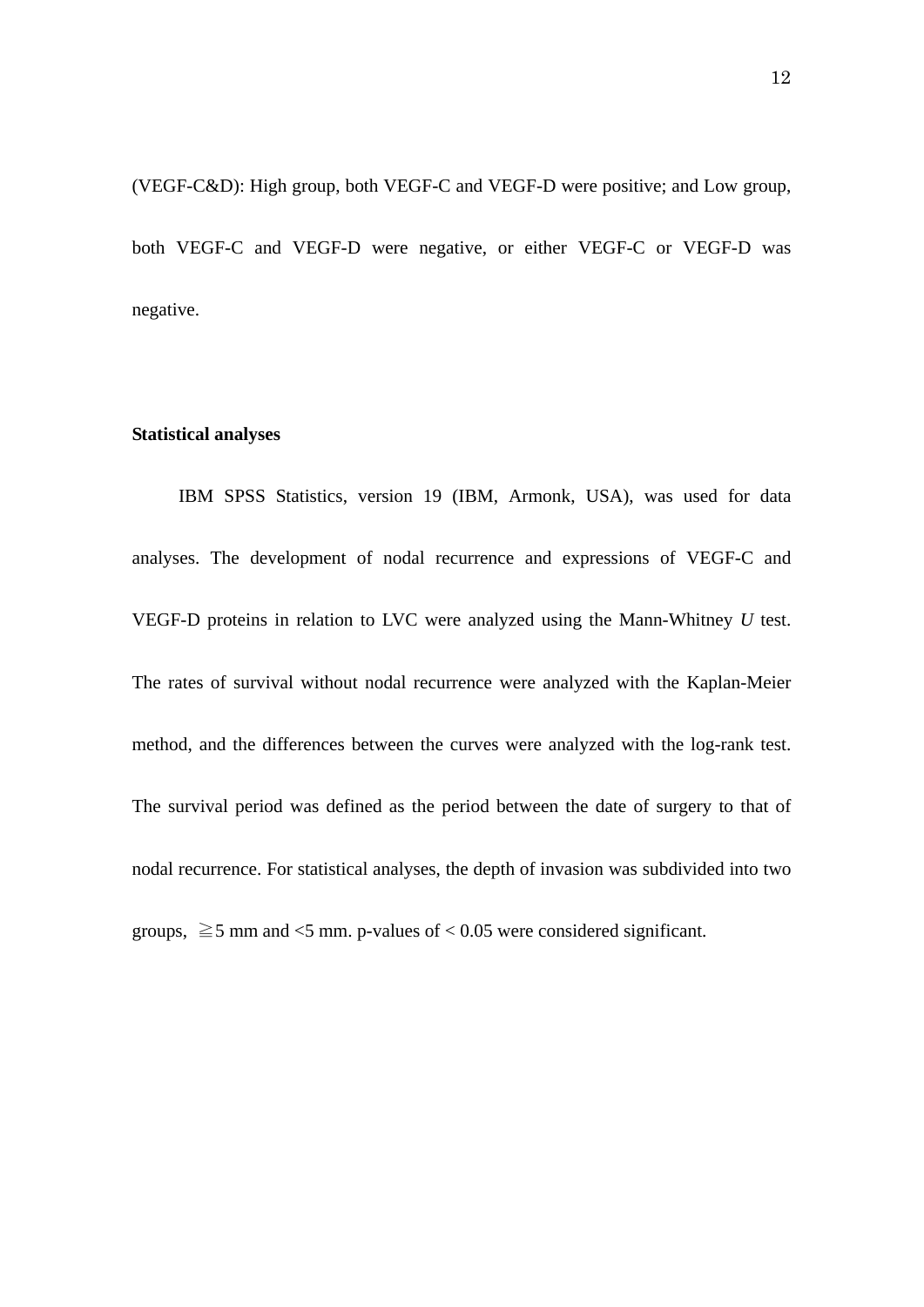(VEGF-C&D): High group, both VEGF-C and VEGF-D were positive; and Low group, both VEGF-C and VEGF-D were negative, or either VEGF-C or VEGF-D was negative.

#### **Statistical analyses**

IBM SPSS Statistics, version 19 (IBM, Armonk, USA), was used for data analyses. The development of nodal recurrence and expressions of VEGF-C and VEGF-D proteins in relation to LVC were analyzed using the Mann-Whitney *U* test. The rates of survival without nodal recurrence were analyzed with the Kaplan-Meier method, and the differences between the curves were analyzed with the log-rank test. The survival period was defined as the period between the date of surgery to that of nodal recurrence. For statistical analyses, the depth of invasion was subdivided into two groups,  $\geq 5$  mm and <5 mm. p-values of < 0.05 were considered significant.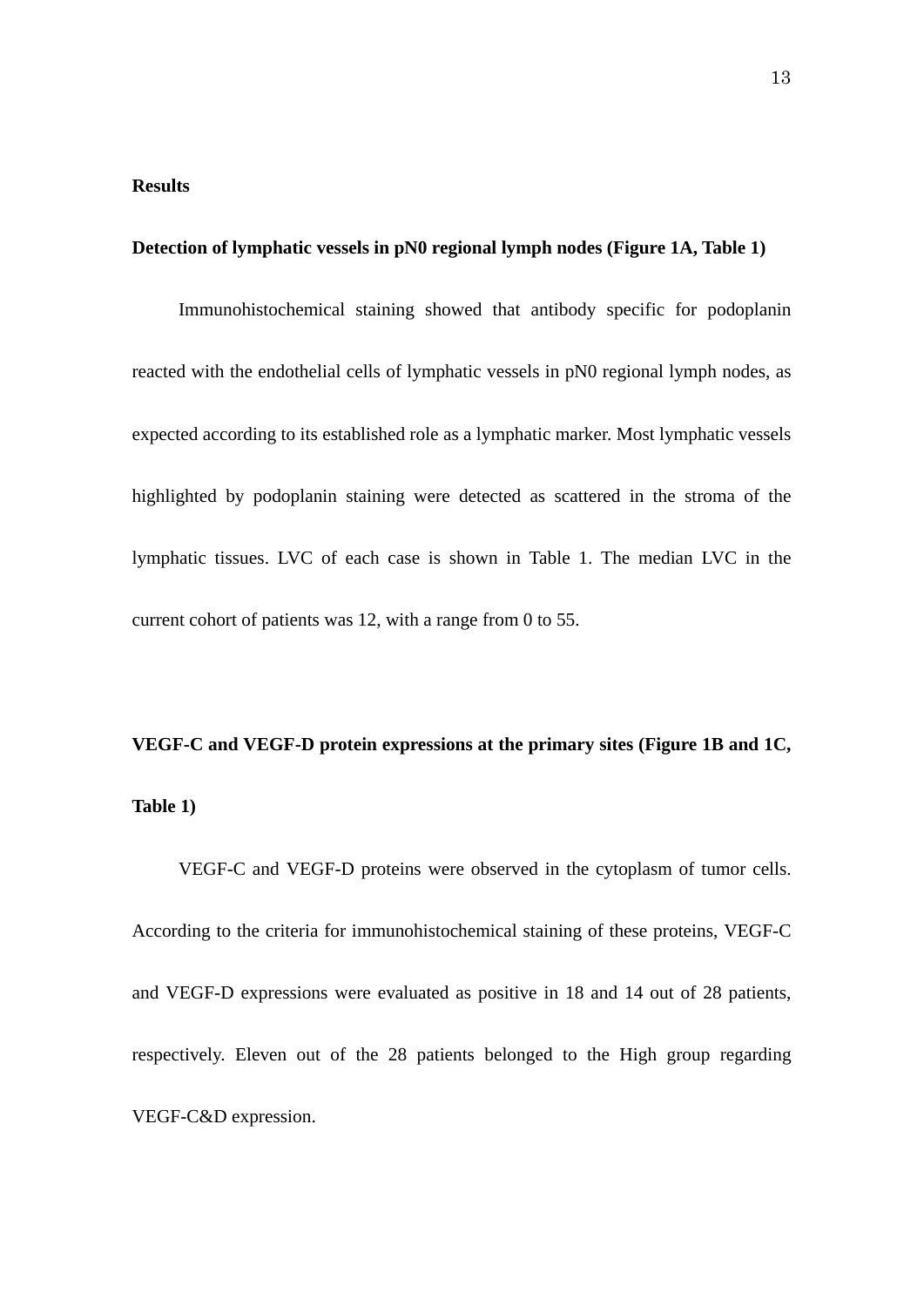#### **Results**

#### **Detection of lymphatic vessels in pN0 regional lymph nodes (Figure 1A, Table 1)**

Immunohistochemical staining showed that antibody specific for podoplanin reacted with the endothelial cells of lymphatic vessels in pN0 regional lymph nodes, as expected according to its established role as a lymphatic marker. Most lymphatic vessels highlighted by podoplanin staining were detected as scattered in the stroma of the lymphatic tissues. LVC of each case is shown in Table 1. The median LVC in the current cohort of patients was 12, with a range from 0 to 55.

## **VEGF-C and VEGF-D protein expressions at the primary sites (Figure 1B and 1C, Table 1)**

VEGF-C and VEGF-D proteins were observed in the cytoplasm of tumor cells. According to the criteria for immunohistochemical staining of these proteins, VEGF-C and VEGF-D expressions were evaluated as positive in 18 and 14 out of 28 patients, respectively. Eleven out of the 28 patients belonged to the High group regarding VEGF-C&D expression.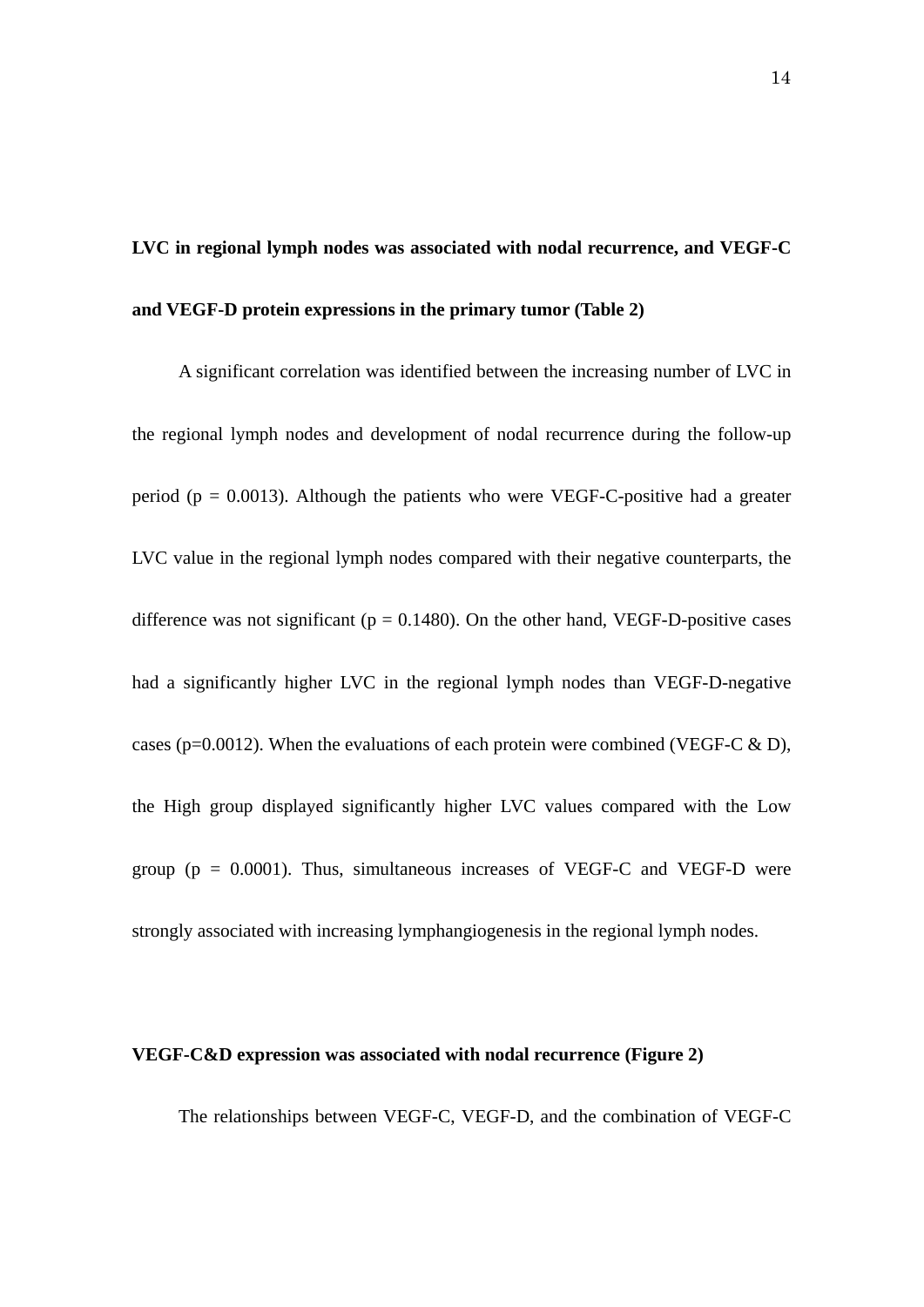# **LVC in regional lymph nodes was associated with nodal recurrence, and VEGF-C and VEGF-D protein expressions in the primary tumor (Table 2)**

A significant correlation was identified between the increasing number of LVC in the regional lymph nodes and development of nodal recurrence during the follow-up period ( $p = 0.0013$ ). Although the patients who were VEGF-C-positive had a greater LVC value in the regional lymph nodes compared with their negative counterparts, the difference was not significant ( $p = 0.1480$ ). On the other hand, VEGF-D-positive cases had a significantly higher LVC in the regional lymph nodes than VEGF-D-negative cases (p=0.0012). When the evaluations of each protein were combined (VEGF-C  $\&$  D), the High group displayed significantly higher LVC values compared with the Low group ( $p = 0.0001$ ). Thus, simultaneous increases of VEGF-C and VEGF-D were strongly associated with increasing lymphangiogenesis in the regional lymph nodes.

#### **VEGF-C&D expression was associated with nodal recurrence (Figure 2)**

The relationships between VEGF-C, VEGF-D, and the combination of VEGF-C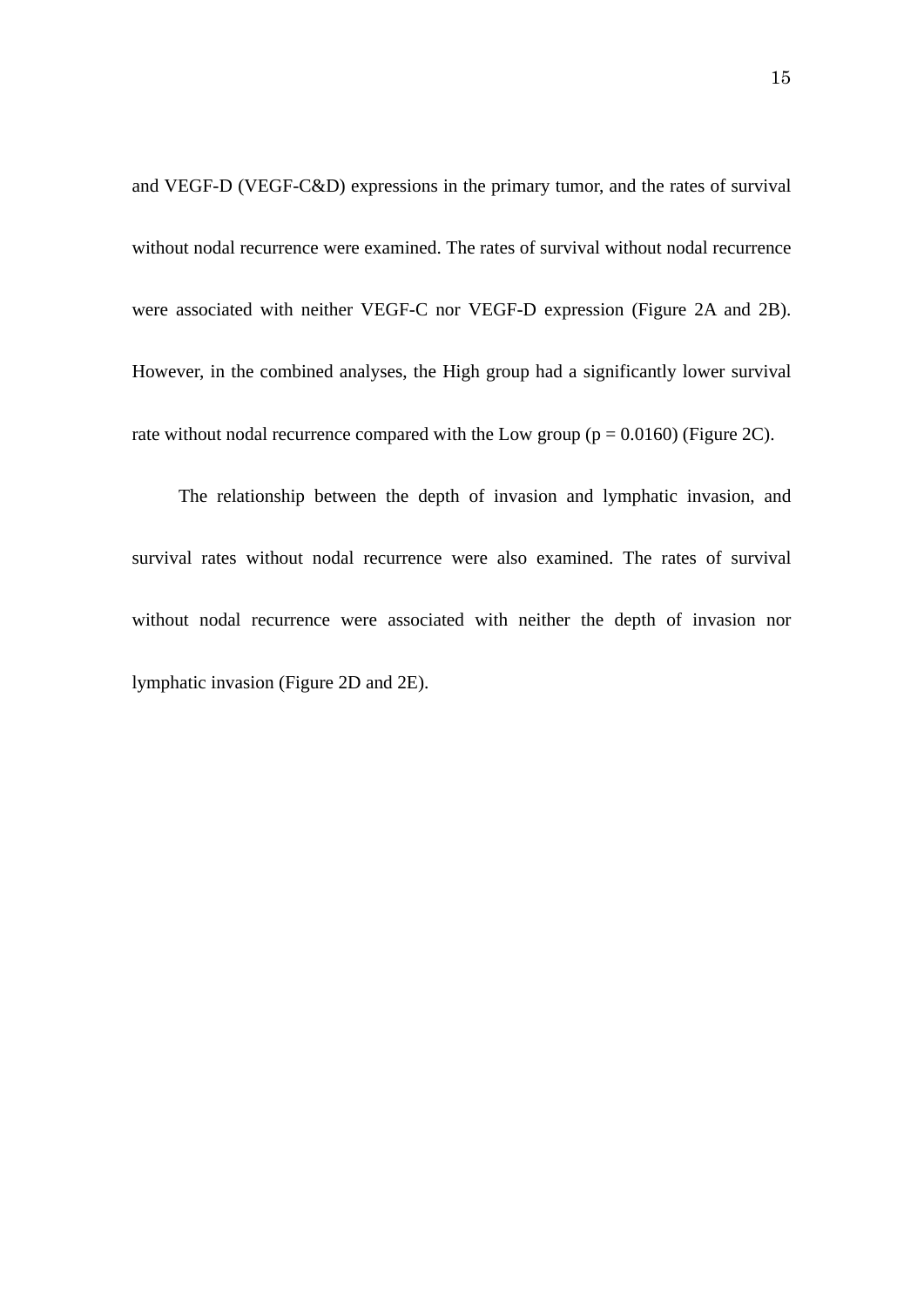and VEGF-D (VEGF-C&D) expressions in the primary tumor, and the rates of survival without nodal recurrence were examined. The rates of survival without nodal recurrence were associated with neither VEGF-C nor VEGF-D expression (Figure 2A and 2B). However, in the combined analyses, the High group had a significantly lower survival rate without nodal recurrence compared with the Low group ( $p = 0.0160$ ) (Figure 2C).

The relationship between the depth of invasion and lymphatic invasion, and survival rates without nodal recurrence were also examined. The rates of survival without nodal recurrence were associated with neither the depth of invasion nor lymphatic invasion (Figure 2D and 2E).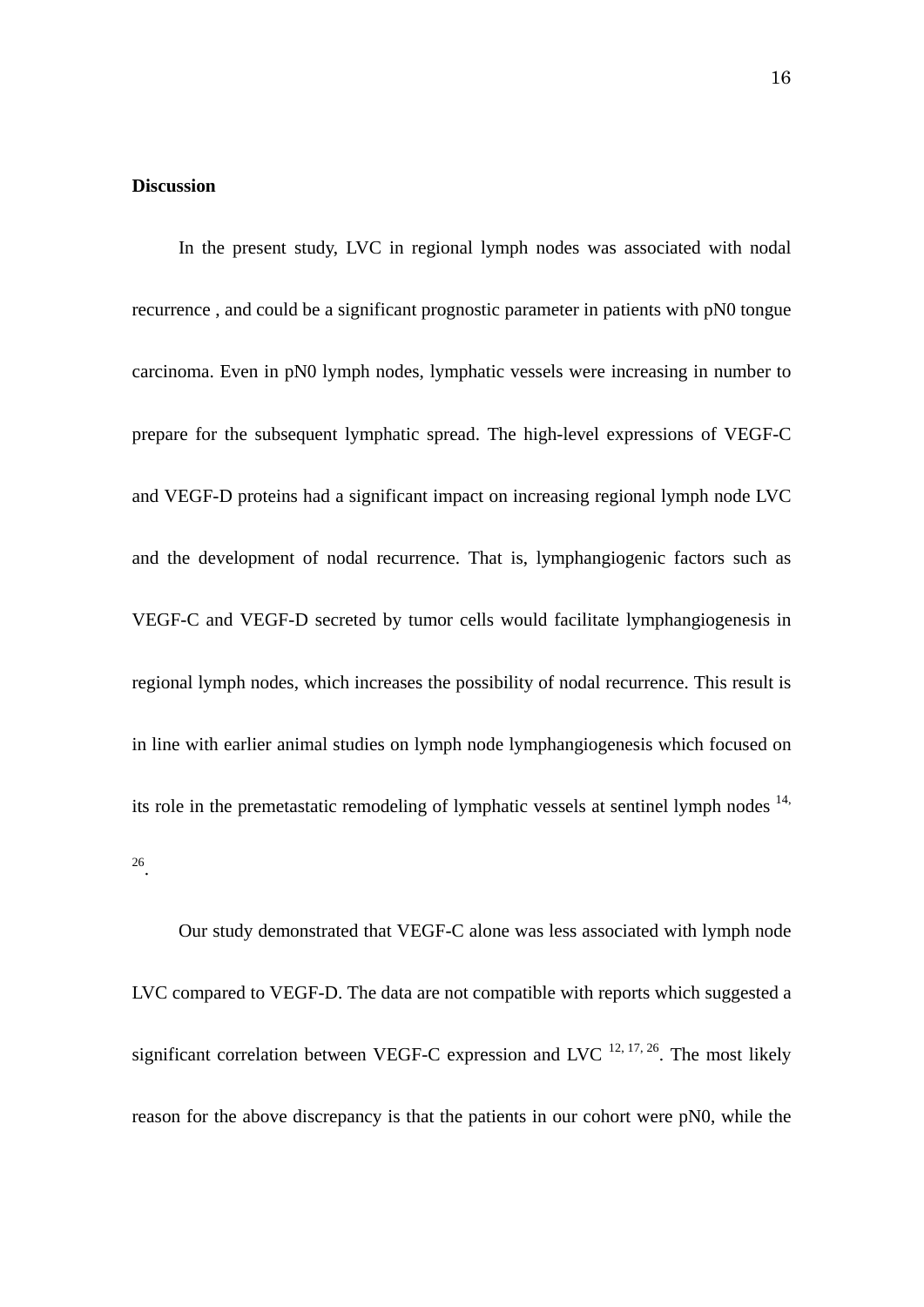#### **Discussion**

In the present study, LVC in regional lymph nodes was associated with nodal recurrence , and could be a significant prognostic parameter in patients with pN0 tongue carcinoma. Even in pN0 lymph nodes, lymphatic vessels were increasing in number to prepare for the subsequent lymphatic spread. The high-level expressions of VEGF-C and VEGF-D proteins had a significant impact on increasing regional lymph node LVC and the development of nodal recurrence. That is, lymphangiogenic factors such as VEGF-C and VEGF-D secreted by tumor cells would facilitate lymphangiogenesis in regional lymph nodes, which increases the possibility of nodal recurrence. This result is in line with earlier animal studies on lymph node lymphangiogenesis which focused on its role in the premetastatic remodeling of lymphatic vessels at sentinel lymph nodes  $14$ , 26.

Our study demonstrated that VEGF-C alone was less associated with lymph node LVC compared to VEGF-D. The data are not compatible with reports which suggested a significant correlation between VEGF-C expression and LVC  $^{12, 17, 26}$ . The most likely reason for the above discrepancy is that the patients in our cohort were pN0, while the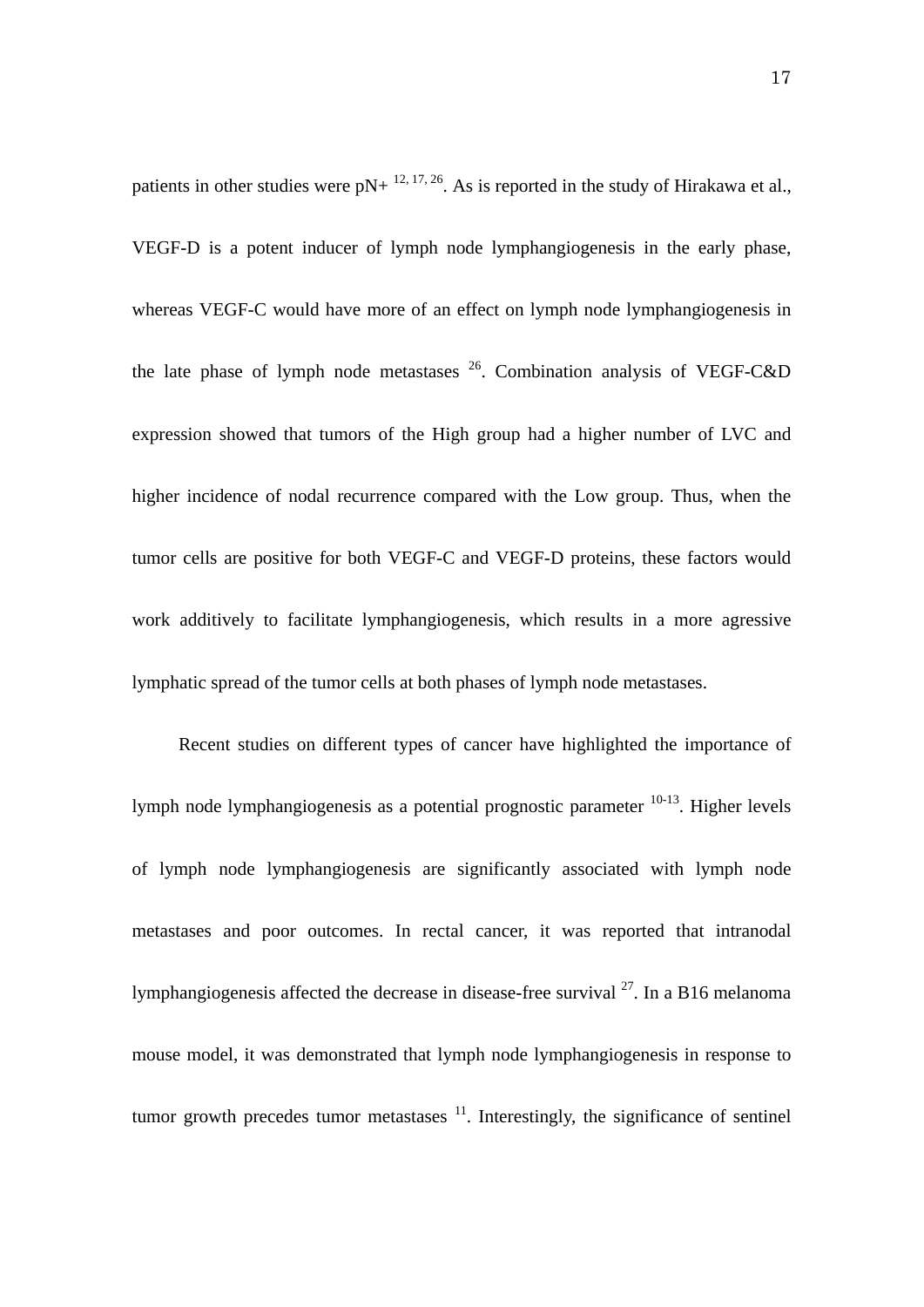patients in other studies were  $pN+$  <sup>12, 17, 26</sup>. As is reported in the study of Hirakawa et al., VEGF-D is a potent inducer of lymph node lymphangiogenesis in the early phase, whereas VEGF-C would have more of an effect on lymph node lymphangiogenesis in the late phase of lymph node metastases  $^{26}$ . Combination analysis of VEGF-C&D expression showed that tumors of the High group had a higher number of LVC and higher incidence of nodal recurrence compared with the Low group. Thus, when the tumor cells are positive for both VEGF-C and VEGF-D proteins, these factors would work additively to facilitate lymphangiogenesis, which results in a more agressive lymphatic spread of the tumor cells at both phases of lymph node metastases.

Recent studies on different types of cancer have highlighted the importance of lymph node lymphangiogenesis as a potential prognostic parameter  $10-13$ . Higher levels of lymph node lymphangiogenesis are significantly associated with lymph node metastases and poor outcomes. In rectal cancer, it was reported that intranodal lymphangiogenesis affected the decrease in disease-free survival  $^{27}$ . In a B16 melanoma mouse model, it was demonstrated that lymph node lymphangiogenesis in response to tumor growth precedes tumor metastases  $11$ . Interestingly, the significance of sentinel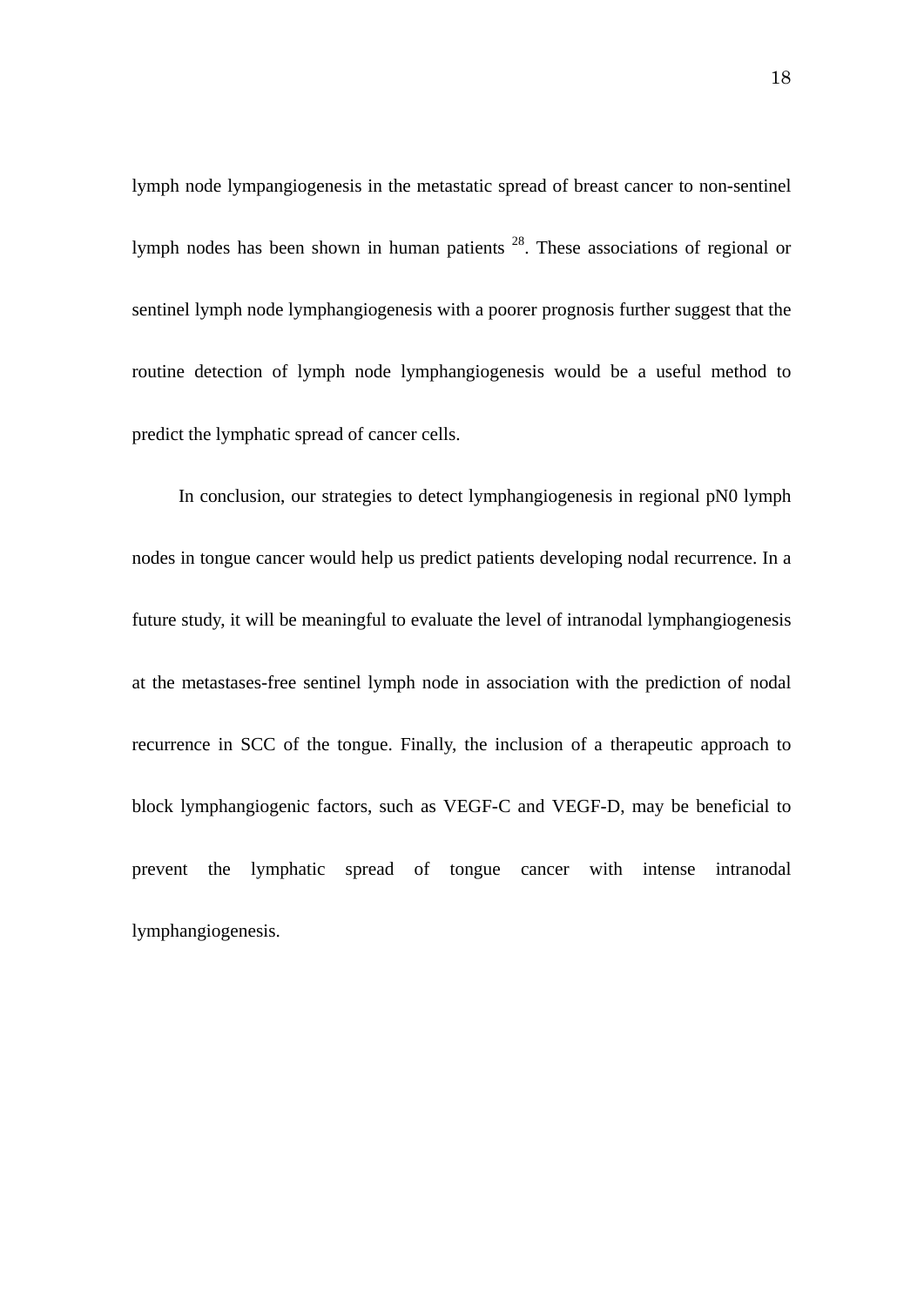lymph node lympangiogenesis in the metastatic spread of breast cancer to non-sentinel lymph nodes has been shown in human patients 28. These associations of regional or sentinel lymph node lymphangiogenesis with a poorer prognosis further suggest that the routine detection of lymph node lymphangiogenesis would be a useful method to predict the lymphatic spread of cancer cells.

In conclusion, our strategies to detect lymphangiogenesis in regional pN0 lymph nodes in tongue cancer would help us predict patients developing nodal recurrence. In a future study, it will be meaningful to evaluate the level of intranodal lymphangiogenesis at the metastases-free sentinel lymph node in association with the prediction of nodal recurrence in SCC of the tongue. Finally, the inclusion of a therapeutic approach to block lymphangiogenic factors, such as VEGF-C and VEGF-D, may be beneficial to prevent the lymphatic spread of tongue cancer with intense intranodal lymphangiogenesis.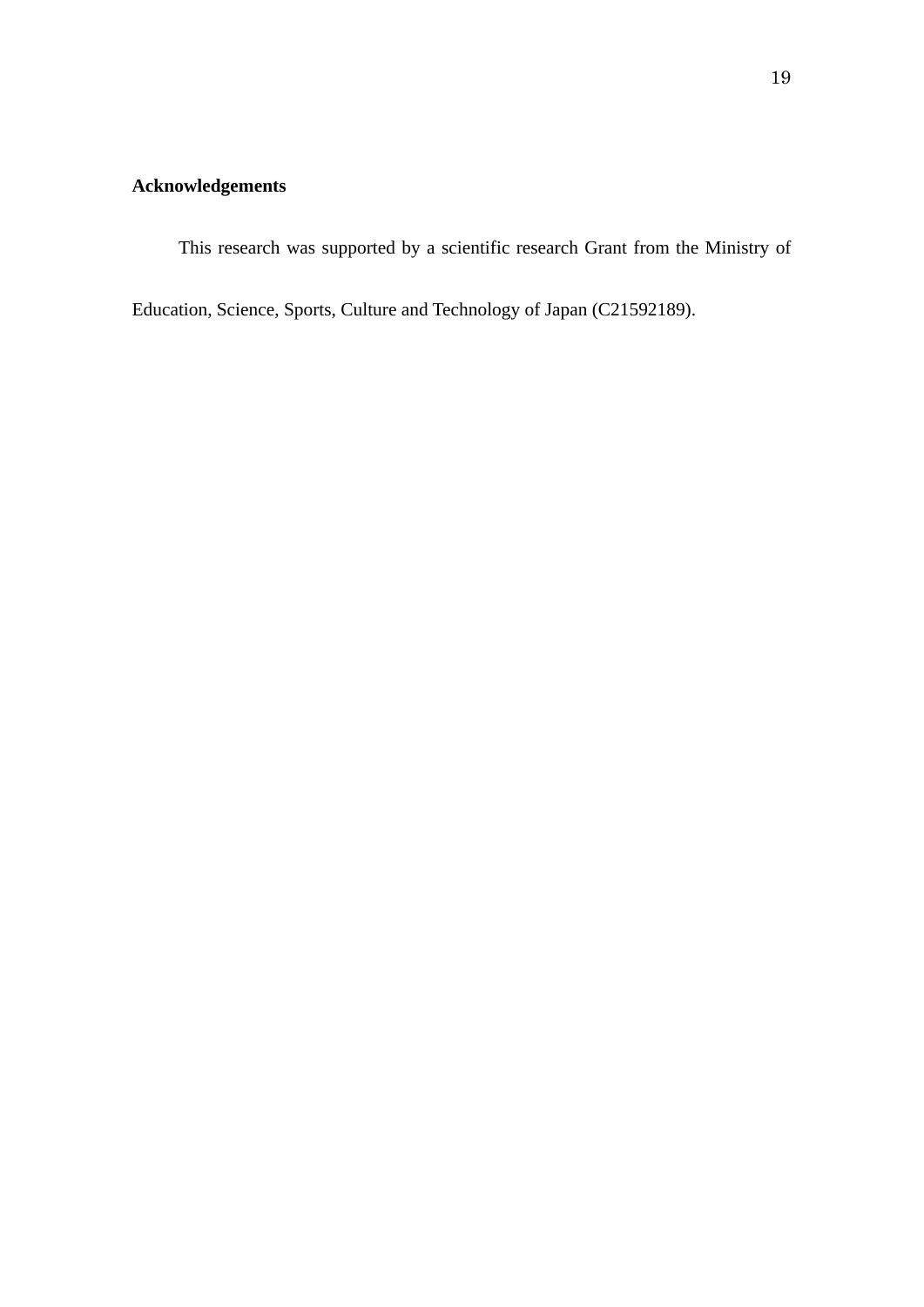### **Acknowledgements**

This research was supported by a scientific research Grant from the Ministry of

Education, Science, Sports, Culture and Technology of Japan (C21592189).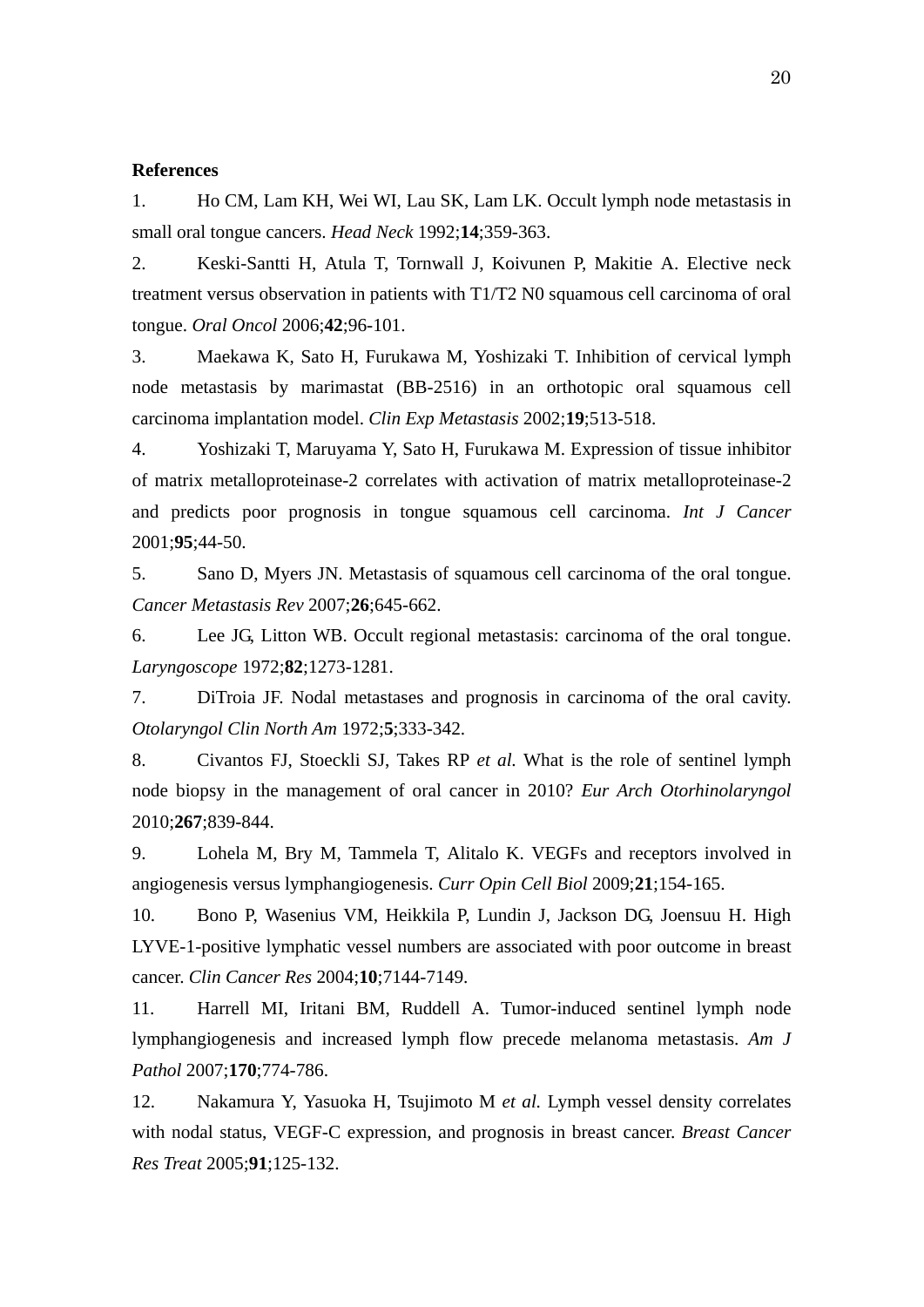#### **References**

1. Ho CM, Lam KH, Wei WI, Lau SK, Lam LK. Occult lymph node metastasis in small oral tongue cancers. *Head Neck* 1992;**14**;359-363.

2. Keski-Santti H, Atula T, Tornwall J, Koivunen P, Makitie A. Elective neck treatment versus observation in patients with T1/T2 N0 squamous cell carcinoma of oral tongue. *Oral Oncol* 2006;**42**;96-101.

3. Maekawa K, Sato H, Furukawa M, Yoshizaki T. Inhibition of cervical lymph node metastasis by marimastat (BB-2516) in an orthotopic oral squamous cell carcinoma implantation model. *Clin Exp Metastasis* 2002;**19**;513-518.

4. Yoshizaki T, Maruyama Y, Sato H, Furukawa M. Expression of tissue inhibitor of matrix metalloproteinase-2 correlates with activation of matrix metalloproteinase-2 and predicts poor prognosis in tongue squamous cell carcinoma. *Int J Cancer* 2001;**95**;44-50.

5. Sano D, Myers JN. Metastasis of squamous cell carcinoma of the oral tongue. *Cancer Metastasis Rev* 2007;**26**;645-662.

6. Lee JG, Litton WB. Occult regional metastasis: carcinoma of the oral tongue. *Laryngoscope* 1972;**82**;1273-1281.

7. DiTroia JF. Nodal metastases and prognosis in carcinoma of the oral cavity. *Otolaryngol Clin North Am* 1972;**5**;333-342.

8. Civantos FJ, Stoeckli SJ, Takes RP *et al.* What is the role of sentinel lymph node biopsy in the management of oral cancer in 2010? *Eur Arch Otorhinolaryngol* 2010;**267**;839-844.

9. Lohela M, Bry M, Tammela T, Alitalo K. VEGFs and receptors involved in angiogenesis versus lymphangiogenesis. *Curr Opin Cell Biol* 2009;**21**;154-165.

10. Bono P, Wasenius VM, Heikkila P, Lundin J, Jackson DG, Joensuu H. High LYVE-1-positive lymphatic vessel numbers are associated with poor outcome in breast cancer. *Clin Cancer Res* 2004;**10**;7144-7149.

11. Harrell MI, Iritani BM, Ruddell A. Tumor-induced sentinel lymph node lymphangiogenesis and increased lymph flow precede melanoma metastasis. *Am J Pathol* 2007;**170**;774-786.

12. Nakamura Y, Yasuoka H, Tsujimoto M *et al.* Lymph vessel density correlates with nodal status, VEGF-C expression, and prognosis in breast cancer. *Breast Cancer Res Treat* 2005;**91**;125-132.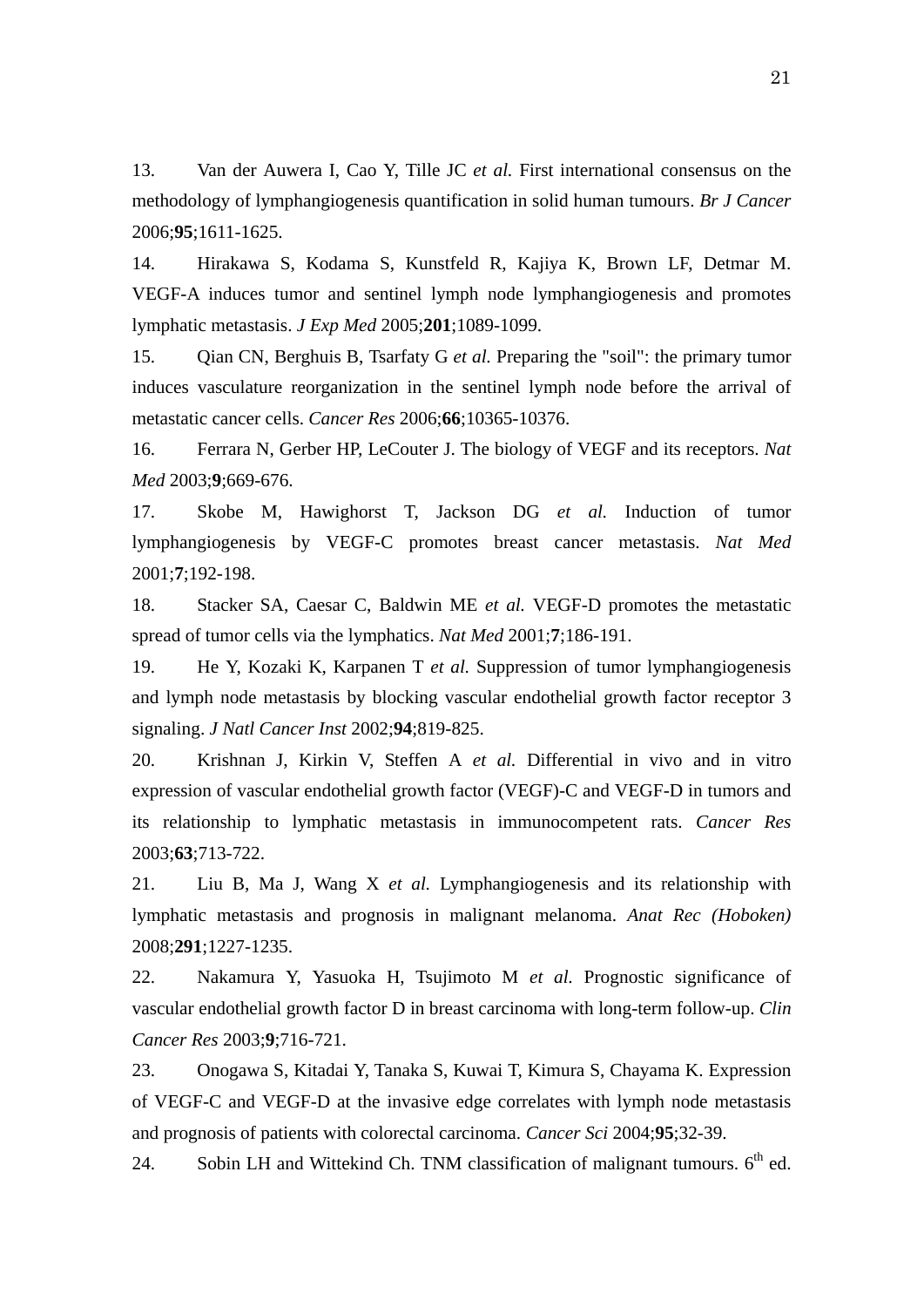13. Van der Auwera I, Cao Y, Tille JC *et al.* First international consensus on the methodology of lymphangiogenesis quantification in solid human tumours. *Br J Cancer* 2006;**95**;1611-1625.

14. Hirakawa S, Kodama S, Kunstfeld R, Kajiya K, Brown LF, Detmar M. VEGF-A induces tumor and sentinel lymph node lymphangiogenesis and promotes lymphatic metastasis. *J Exp Med* 2005;**201**;1089-1099.

15. Qian CN, Berghuis B, Tsarfaty G *et al.* Preparing the "soil": the primary tumor induces vasculature reorganization in the sentinel lymph node before the arrival of metastatic cancer cells. *Cancer Res* 2006;**66**;10365-10376.

16. Ferrara N, Gerber HP, LeCouter J. The biology of VEGF and its receptors. *Nat Med* 2003;**9**;669-676.

17. Skobe M, Hawighorst T, Jackson DG *et al.* Induction of tumor lymphangiogenesis by VEGF-C promotes breast cancer metastasis. *Nat Med* 2001;**7**;192-198.

18. Stacker SA, Caesar C, Baldwin ME *et al.* VEGF-D promotes the metastatic spread of tumor cells via the lymphatics. *Nat Med* 2001;**7**;186-191.

19. He Y, Kozaki K, Karpanen T *et al.* Suppression of tumor lymphangiogenesis and lymph node metastasis by blocking vascular endothelial growth factor receptor 3 signaling. *J Natl Cancer Inst* 2002;**94**;819-825.

20. Krishnan J, Kirkin V, Steffen A *et al.* Differential in vivo and in vitro expression of vascular endothelial growth factor (VEGF)-C and VEGF-D in tumors and its relationship to lymphatic metastasis in immunocompetent rats. *Cancer Res* 2003;**63**;713-722.

21. Liu B, Ma J, Wang X *et al.* Lymphangiogenesis and its relationship with lymphatic metastasis and prognosis in malignant melanoma. *Anat Rec (Hoboken)* 2008;**291**;1227-1235.

22. Nakamura Y, Yasuoka H, Tsujimoto M *et al.* Prognostic significance of vascular endothelial growth factor D in breast carcinoma with long-term follow-up. *Clin Cancer Res* 2003;**9**;716-721.

23. Onogawa S, Kitadai Y, Tanaka S, Kuwai T, Kimura S, Chayama K. Expression of VEGF-C and VEGF-D at the invasive edge correlates with lymph node metastasis and prognosis of patients with colorectal carcinoma. *Cancer Sci* 2004;**95**;32-39.

24. Sobin LH and Wittekind Ch. TNM classification of malignant tumours.  $6<sup>th</sup>$  ed.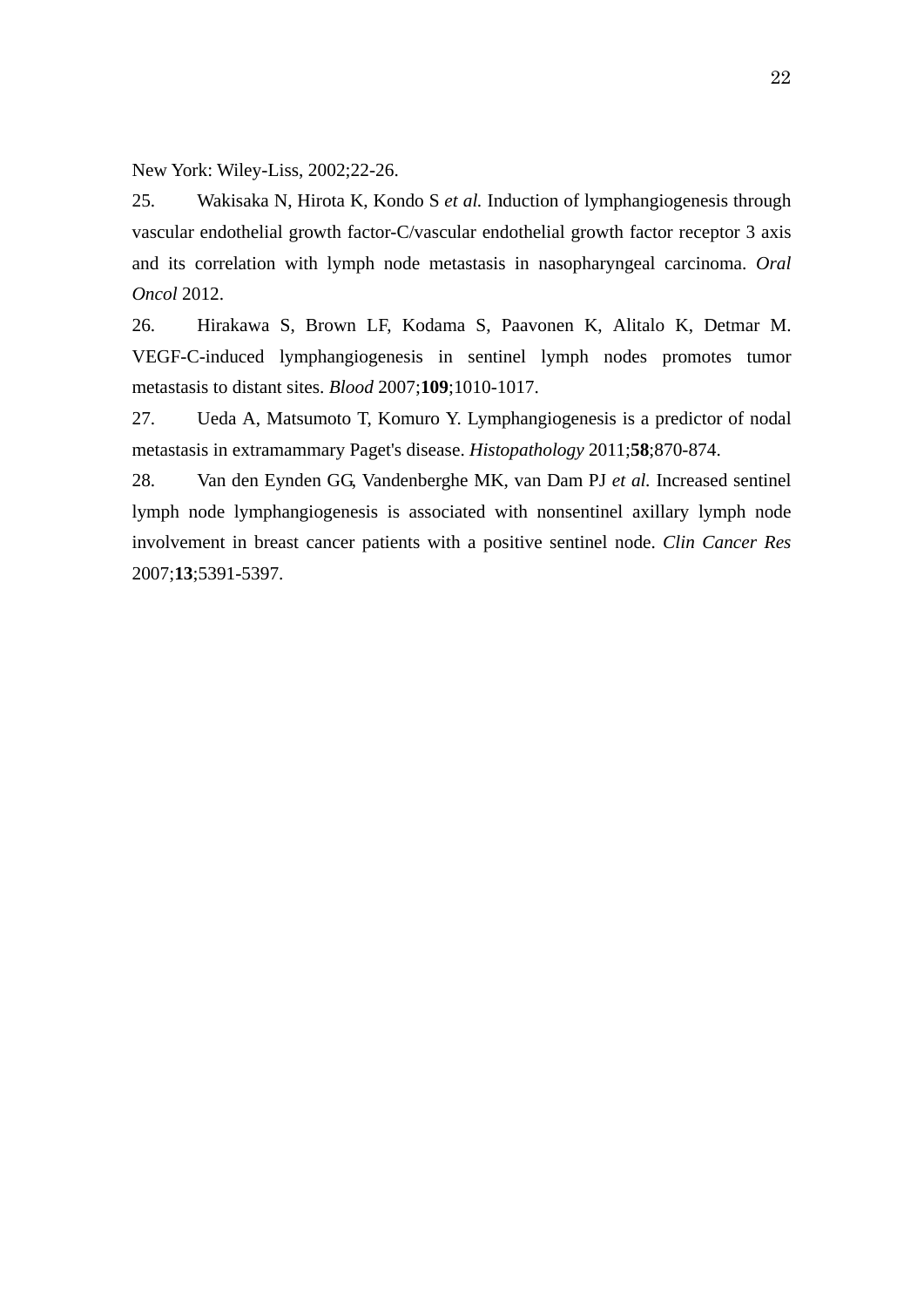New York: Wiley-Liss, 2002;22-26.

25. Wakisaka N, Hirota K, Kondo S *et al.* Induction of lymphangiogenesis through vascular endothelial growth factor-C/vascular endothelial growth factor receptor 3 axis and its correlation with lymph node metastasis in nasopharyngeal carcinoma. *Oral Oncol* 2012.

26. Hirakawa S, Brown LF, Kodama S, Paavonen K, Alitalo K, Detmar M. VEGF-C-induced lymphangiogenesis in sentinel lymph nodes promotes tumor metastasis to distant sites. *Blood* 2007;**109**;1010-1017.

27. Ueda A, Matsumoto T, Komuro Y. Lymphangiogenesis is a predictor of nodal metastasis in extramammary Paget's disease. *Histopathology* 2011;**58**;870-874.

28. Van den Eynden GG, Vandenberghe MK, van Dam PJ *et al.* Increased sentinel lymph node lymphangiogenesis is associated with nonsentinel axillary lymph node involvement in breast cancer patients with a positive sentinel node. *Clin Cancer Res* 2007;**13**;5391-5397.